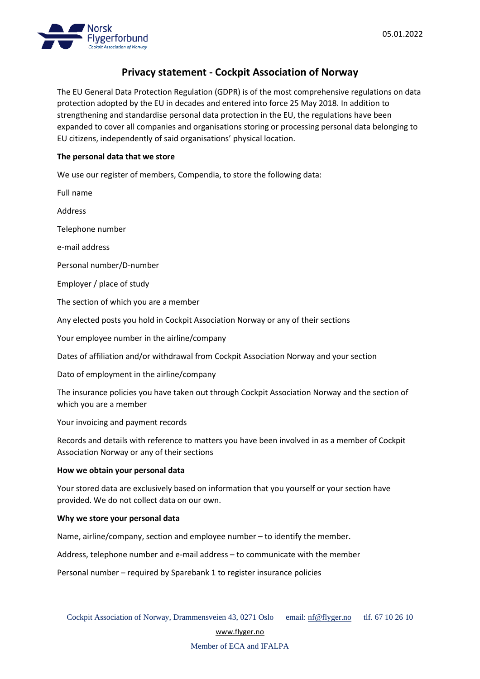

# **Privacy statement - Cockpit Association of Norway**

The EU General Data Protection Regulation (GDPR) is of the most comprehensive regulations on data protection adopted by the EU in decades and entered into force 25 May 2018. In addition to strengthening and standardise personal data protection in the EU, the regulations have been expanded to cover all companies and organisations storing or processing personal data belonging to EU citizens, independently of said organisations' physical location.

#### **The personal data that we store**

We use our register of members, Compendia, to store the following data:

Full name

Address

Telephone number

e-mail address

Personal number/D-number

Employer / place of study

The section of which you are a member

Any elected posts you hold in Cockpit Association Norway or any of their sections

Your employee number in the airline/company

Dates of affiliation and/or withdrawal from Cockpit Association Norway and your section

Dato of employment in the airline/company

The insurance policies you have taken out through Cockpit Association Norway and the section of which you are a member

Your invoicing and payment records

Records and details with reference to matters you have been involved in as a member of Cockpit Association Norway or any of their sections

#### **How we obtain your personal data**

Your stored data are exclusively based on information that you yourself or your section have provided. We do not collect data on our own.

#### **Why we store your personal data**

Name, airline/company, section and employee number – to identify the member.

Address, telephone number and e-mail address – to communicate with the member

Personal number – required by Sparebank 1 to register insurance policies

[www.flyger.no](http://www.flyger.no/)

Member of ECA and IFALPA